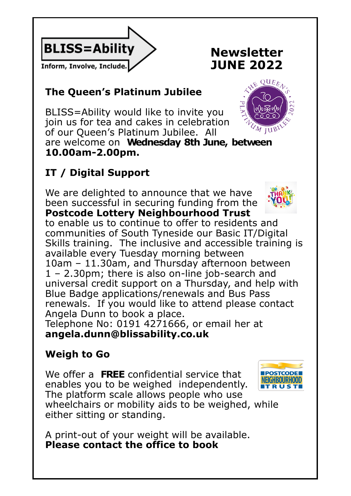

# **Newsletter JUNE 2022**

## **The Queen's Platinum Jubilee**

BLISS=Ability would like to invite you join us for tea and cakes in celebration of our Queen's Platinum Jubilee. All are welcome on **Wednesday 8th June, between 10.00am-2.00pm.**

# **IT / Digital Support**

We are delighted to announce that we have been successful in securing funding from the **Postcode Lottery Neighbourhood Trust**

**Informals.** If you would like to attend please contact and a place. to enable us to continue to offer to residents and communities of South Tyneside our Basic IT/Digital Skills training. The inclusive and accessible training is available every Tuesday morning between 10am – 11.30am, and Thursday afternoon between 1 – 2.30pm; there is also on-line job-search and universal credit support on a Thursday, and help with Blue Badge applications/renewals and Bus Pass Angela Dunn to book a place.

Telephone No: 0191 4271666, or email her at **angela.dunn@blissability.co.uk**

## **Weigh to Go**

We offer a **FREE** confidential service that enables you to be weighed independently. The platform scale allows people who use wheelchairs or mobility aids to be weighed, while either sitting or standing.

A print-out of your weight will be available. **Please contact the office to book** 





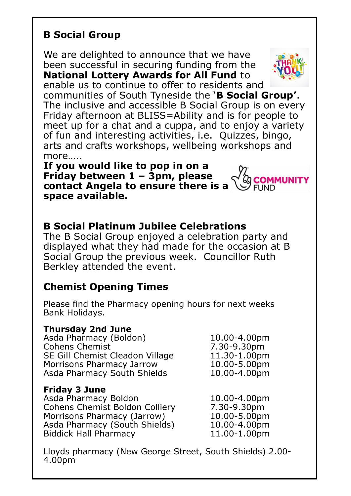### **B Social Group**

We are delighted to announce that we have been successful in securing funding from the **National Lottery Awards for All Fund** to enable us to continue to offer to residents and



communities of South Tyneside the '**B Social Group'**. The inclusive and accessible B Social Group is on every Friday afternoon at BLISS=Ability and is for people to meet up for a chat and a cuppa, and to enjoy a variety of fun and interesting activities, i.e. Quizzes, bingo, arts and crafts workshops, wellbeing workshops and more…..

**If you would like to pop in on a Friday between 1 – 3pm, please contact Angela to ensure there is a PEIND space available.** 

### **B Social Platinum Jubilee Celebrations**

The B Social Group enjoyed a celebration party and displayed what they had made for the occasion at B Social Group the previous week. Councillor Ruth Berkley attended the event.

### **Chemist Opening Times**

Please find the Pharmacy opening hours for next weeks Bank Holidays.

#### **Thursday 2nd June**

Asda Pharmacy (Boldon) 10.00-4.00pm Cohens Chemist 7.30-9.30pm SE Gill Chemist Cleadon Village 11.30-1.00pm Morrisons Pharmacy Jarrow 10.00-5.00pm Asda Pharmacy South Shields 10.00-4.00pm

#### **Friday 3 June**

Asda Pharmacy Boldon 10.00-4.00pm Cohens Chemist Boldon Colliery 7.30-9.30pm Morrisons Pharmacy (Jarrow) 10.00-5.00pm Asda Pharmacy (South Shields) 10.00-4.00pm Biddick Hall Pharmacy 11.00-1.00pm

Lloyds pharmacy (New George Street, South Shields) 2.00- 4.00pm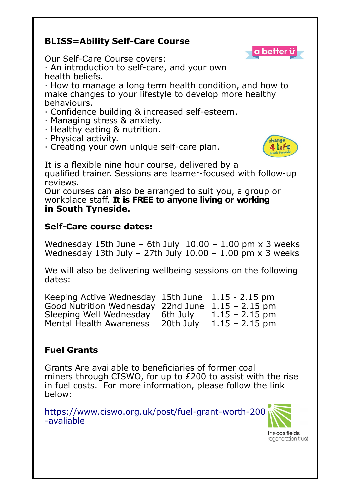#### **BLISS=Ability Self-Care Course**



Our Self-Care Course covers:

· An introduction to self-care, and your own health beliefs.

· How to manage a long term health condition, and how to make changes to your lifestyle to develop more healthy behaviours.

- · Confidence building & increased self-esteem.
- · Managing stress & anxiety.
- · Healthy eating & nutrition.
- · Physical activity.
- · Creating your own unique self-care plan.



It is a flexible nine hour course, delivered by a qualified trainer. Sessions are learner-focused with follow-up reviews.

Our courses can also be arranged to suit you, a group or workplace staff. **It is FREE to anyone living or working in South Tyneside.**

#### **Self-Care course dates:**

Wednesday 15th June – 6th July  $10.00 - 1.00$  pm x 3 weeks Wednesday 13th July – 27th July 10.00 – 1.00 pm  $\times$  3 weeks

We will also be delivering wellbeing sessions on the following dates:

| Keeping Active Wednesday 15th June 1.15 - 2.15 pm |           |                  |
|---------------------------------------------------|-----------|------------------|
| Good Nutrition Wednesday 22nd June                |           | $1.15 - 2.15$ pm |
| Sleeping Well Wednesday                           | 6th July  | $1.15 - 2.15$ pm |
| <b>Mental Health Awareness</b>                    | 20th July | $1.15 - 2.15$ pm |

#### **Fuel Grants**

Grants Are available to beneficiaries of former coal miners through CISWO, for up to £200 to assist with the rise in fuel costs. For more information, please follow the link below:

https://www.ciswo.org.uk/post/fuel-grant-worth-200 -avaliable